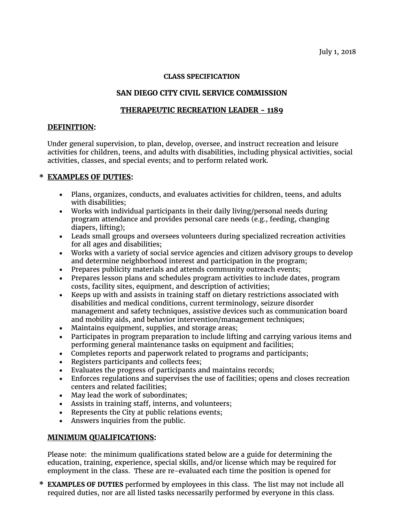#### **CLASS SPECIFICATION**

# **SAN DIEGO CITY CIVIL SERVICE COMMISSION**

### **THERAPEUTIC RECREATION LEADER - 1189**

### **DEFINITION:**

Under general supervision, to plan, develop, oversee, and instruct recreation and leisure activities for children, teens, and adults with disabilities, including physical activities, social activities, classes, and special events; and to perform related work.

# **\* EXAMPLES OF DUTIES:**

- Plans, organizes, conducts, and evaluates activities for children, teens, and adults with disabilities;
- Works with individual participants in their daily living/personal needs during program attendance and provides personal care needs (e.g., feeding, changing diapers, lifting);
- Leads small groups and oversees volunteers during specialized recreation activities for all ages and disabilities;
- Works with a variety of social service agencies and citizen advisory groups to develop and determine neighborhood interest and participation in the program;
- Prepares publicity materials and attends community outreach events;
- Prepares lesson plans and schedules program activities to include dates, program costs, facility sites, equipment, and description of activities;
- Keeps up with and assists in training staff on dietary restrictions associated with disabilities and medical conditions, current terminology, seizure disorder management and safety techniques, assistive devices such as communication board and mobility aids, and behavior intervention/management techniques;
- Maintains equipment, supplies, and storage areas;
- Participates in program preparation to include lifting and carrying various items and performing general maintenance tasks on equipment and facilities;
- Completes reports and paperwork related to programs and participants;
- Registers participants and collects fees;
- Evaluates the progress of participants and maintains records;
- Enforces regulations and supervises the use of facilities; opens and closes recreation centers and related facilities;
- May lead the work of subordinates;
- Assists in training staff, interns, and volunteers;
- Represents the City at public relations events;
- Answers inquiries from the public.

#### **MINIMUM QUALIFICATIONS:**

Please note: the minimum qualifications stated below are a guide for determining the education, training, experience, special skills, and/or license which may be required for employment in the class. These are re-evaluated each time the position is opened for

**\* EXAMPLES OF DUTIES** performed by employees in this class. The list may not include all required duties, nor are all listed tasks necessarily performed by everyone in this class.